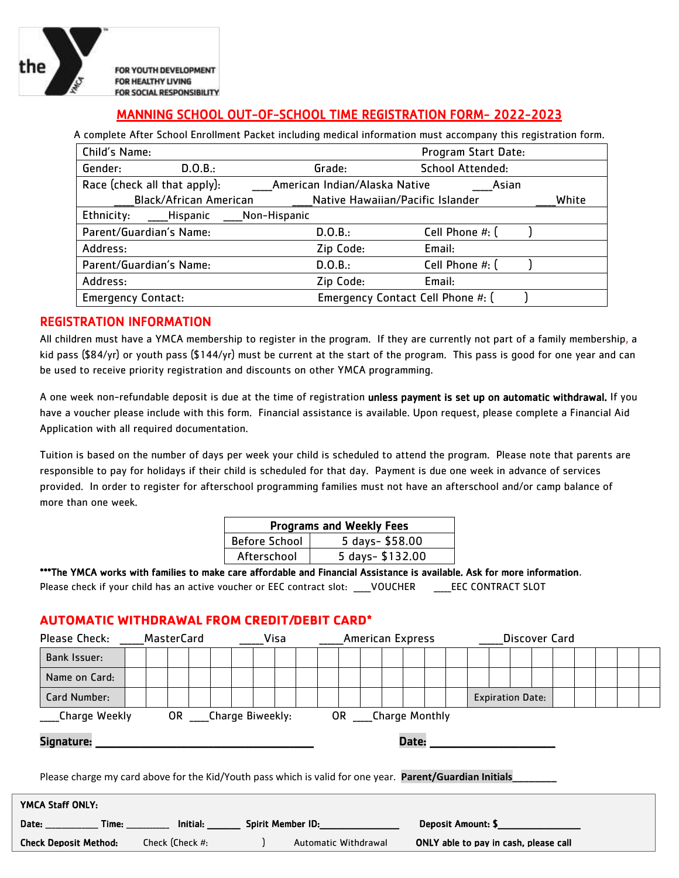

FOR YOUTH DEVELOPMENT FOR HEALTHY LIVING FOR SOCIAL RESPONSIBILITY

# MANNING SCHOOL OUT-OF-SCHOOL TIME REGISTRATION FORM- 2022-2023

A complete After School Enrollment Packet including medical information must accompany this registration form.

| Child's Name:             |                               |              |                                   | Program Start Date:     |  |  |  |  |  |
|---------------------------|-------------------------------|--------------|-----------------------------------|-------------------------|--|--|--|--|--|
| Gender:                   | D.O.B.:                       |              | Grade:                            | <b>School Attended:</b> |  |  |  |  |  |
|                           | Race (check all that apply):  |              | American Indian/Alaska Native     | Asian                   |  |  |  |  |  |
|                           | <b>Black/African American</b> |              | Native Hawaiian/Pacific Islander  |                         |  |  |  |  |  |
| Ethnicity:                | ____Hispanic                  | Non-Hispanic |                                   |                         |  |  |  |  |  |
| Parent/Guardian's Name:   |                               |              | D.0.B.:                           | Cell Phone #: (         |  |  |  |  |  |
| Address:                  |                               |              | Zip Code:                         | Email:                  |  |  |  |  |  |
| Parent/Guardian's Name:   |                               |              | D.O.B.:                           | Cell Phone #: (         |  |  |  |  |  |
| Address:                  |                               |              | Zip Code:                         | Email:                  |  |  |  |  |  |
| <b>Emergency Contact:</b> |                               |              | Emergency Contact Cell Phone #: ( |                         |  |  |  |  |  |

### REGISTRATION INFORMATION

All children must have a YMCA membership to register in the program. If they are currently not part of a family membership, a kid pass (\$84/yr) or youth pass (\$144/yr) must be current at the start of the program. This pass is good for one year and can be used to receive priority registration and discounts on other YMCA programming.

A one week non-refundable deposit is due at the time of registration unless payment is set up on automatic withdrawal. If you have a voucher please include with this form. Financial assistance is available. Upon request, please complete a Financial Aid Application with all required documentation.

Tuition is based on the number of days per week your child is scheduled to attend the program. Please note that parents are responsible to pay for holidays if their child is scheduled for that day. Payment is due one week in advance of services provided. In order to register for afterschool programming families must not have an afterschool and/or camp balance of more than one week.

| <b>Programs and Weekly Fees</b> |                 |  |  |  |  |  |  |  |  |
|---------------------------------|-----------------|--|--|--|--|--|--|--|--|
| <b>Before School</b>            | 5 days-\$58.00  |  |  |  |  |  |  |  |  |
| Afterschool                     | 5 days-\$132.00 |  |  |  |  |  |  |  |  |

\*\*\*The YMCA works with families to make care affordable and Financial Assistance is available. Ask for more information. Please check if your child has an active voucher or EEC contract slot: \_\_\_\_\_VOUCHER \_\_\_\_\_\_\_\_EEC CONTRACT SLOT

## **AUTOMATIC WITHDRAWAL FROM CREDIT/DEBIT CARD\***

| Please Check:                                                                                                    |                                                                                                                                                                                                                                                                                      | MasterCard |  |  |  | Visa |  |  |  | <b>American Express</b> |  |  |  |  | Discover Card |                         |  |  |  |  |  |  |  |  |
|------------------------------------------------------------------------------------------------------------------|--------------------------------------------------------------------------------------------------------------------------------------------------------------------------------------------------------------------------------------------------------------------------------------|------------|--|--|--|------|--|--|--|-------------------------|--|--|--|--|---------------|-------------------------|--|--|--|--|--|--|--|--|
| <b>Bank Issuer:</b>                                                                                              |                                                                                                                                                                                                                                                                                      |            |  |  |  |      |  |  |  |                         |  |  |  |  |               |                         |  |  |  |  |  |  |  |  |
| Name on Card:                                                                                                    |                                                                                                                                                                                                                                                                                      |            |  |  |  |      |  |  |  |                         |  |  |  |  |               |                         |  |  |  |  |  |  |  |  |
| Card Number:                                                                                                     |                                                                                                                                                                                                                                                                                      |            |  |  |  |      |  |  |  |                         |  |  |  |  |               | <b>Expiration Date:</b> |  |  |  |  |  |  |  |  |
| <b>OR</b><br>OR Charge Biweekly:<br>Charge Weekly<br><b>Charge Monthly</b>                                       |                                                                                                                                                                                                                                                                                      |            |  |  |  |      |  |  |  |                         |  |  |  |  |               |                         |  |  |  |  |  |  |  |  |
| Signature:<br>Date:                                                                                              |                                                                                                                                                                                                                                                                                      |            |  |  |  |      |  |  |  |                         |  |  |  |  |               |                         |  |  |  |  |  |  |  |  |
| Please charge my card above for the Kid/Youth pass which is valid for one year. Parent/Guardian Initials         |                                                                                                                                                                                                                                                                                      |            |  |  |  |      |  |  |  |                         |  |  |  |  |               |                         |  |  |  |  |  |  |  |  |
| YMCA Staff ONLY:                                                                                                 |                                                                                                                                                                                                                                                                                      |            |  |  |  |      |  |  |  |                         |  |  |  |  |               |                         |  |  |  |  |  |  |  |  |
|                                                                                                                  | Date: Time:<br><b>Spirit Member ID:</b> The control of the control of the control of the control of the control of the control of the control of the control of the control of the control of the control of the control of the control of the con<br>Deposit Amount: \$<br>Initial: |            |  |  |  |      |  |  |  |                         |  |  |  |  |               |                         |  |  |  |  |  |  |  |  |
| <b>Check Deposit Method:</b><br>Check (Check #:<br>Automatic Withdrawal<br>ONLY able to pay in cash, please call |                                                                                                                                                                                                                                                                                      |            |  |  |  |      |  |  |  |                         |  |  |  |  |               |                         |  |  |  |  |  |  |  |  |